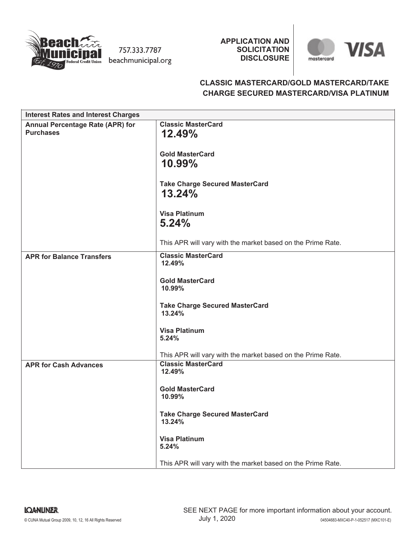

757.333.7787 beachmunicipal.org **APPLICATION AND SOLICITATION DISCLOSURE**



# **CLASSIC MASTERCARD/GOLD MASTERCARD/TAKE CHARGE SECURED MASTERCARD/VISA PLATINUM**

| <b>Interest Rates and Interest Charges</b> |                                                             |
|--------------------------------------------|-------------------------------------------------------------|
| <b>Annual Percentage Rate (APR) for</b>    | <b>Classic MasterCard</b>                                   |
| <b>Purchases</b>                           | 12.49%                                                      |
|                                            | <b>Gold MasterCard</b>                                      |
|                                            | 10.99%                                                      |
|                                            |                                                             |
|                                            | <b>Take Charge Secured MasterCard</b>                       |
|                                            | 13.24%                                                      |
|                                            |                                                             |
|                                            | <b>Visa Platinum</b>                                        |
|                                            | 5.24%                                                       |
|                                            | This APR will vary with the market based on the Prime Rate. |
|                                            |                                                             |
| <b>APR for Balance Transfers</b>           | <b>Classic MasterCard</b><br>12.49%                         |
|                                            |                                                             |
|                                            | <b>Gold MasterCard</b>                                      |
|                                            | 10.99%                                                      |
|                                            | <b>Take Charge Secured MasterCard</b>                       |
|                                            | 13.24%                                                      |
|                                            |                                                             |
|                                            | <b>Visa Platinum</b><br>5.24%                               |
|                                            |                                                             |
|                                            | This APR will vary with the market based on the Prime Rate. |
| <b>APR for Cash Advances</b>               | <b>Classic MasterCard</b><br>12.49%                         |
|                                            |                                                             |
|                                            | <b>Gold MasterCard</b>                                      |
|                                            | 10.99%                                                      |
|                                            |                                                             |
|                                            | <b>Take Charge Secured MasterCard</b><br>13.24%             |
|                                            |                                                             |
|                                            | <b>Visa Platinum</b>                                        |
|                                            | 5.24%                                                       |
|                                            | This APR will vary with the market based on the Prime Rate. |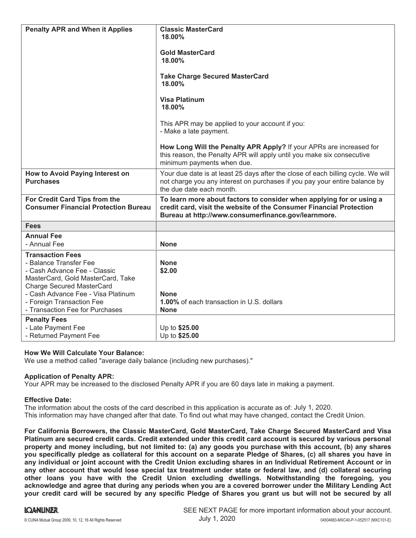| <b>Penalty APR and When it Applies</b>                                                                                                                                                                                                                           | <b>Classic MasterCard</b><br>$18.00\%$<br><b>Gold MasterCard</b><br>18.00%<br><b>Take Charge Secured MasterCard</b><br>18.00%<br><b>Visa Platinum</b><br>18.00%<br>This APR may be applied to your account if you:<br>- Make a late payment.<br>How Long Will the Penalty APR Apply? If your APRs are increased for<br>this reason, the Penalty APR will apply until you make six consecutive<br>minimum payments when due. |
|------------------------------------------------------------------------------------------------------------------------------------------------------------------------------------------------------------------------------------------------------------------|-----------------------------------------------------------------------------------------------------------------------------------------------------------------------------------------------------------------------------------------------------------------------------------------------------------------------------------------------------------------------------------------------------------------------------|
| How to Avoid Paying Interest on<br><b>Purchases</b>                                                                                                                                                                                                              | Your due date is at least 25 days after the close of each billing cycle. We will<br>not charge you any interest on purchases if you pay your entire balance by<br>the due date each month.                                                                                                                                                                                                                                  |
| For Credit Card Tips from the<br><b>Consumer Financial Protection Bureau</b>                                                                                                                                                                                     | To learn more about factors to consider when applying for or using a<br>credit card, visit the website of the Consumer Financial Protection<br>Bureau at http://www.consumerfinance.gov/learnmore.                                                                                                                                                                                                                          |
| <b>Fees</b>                                                                                                                                                                                                                                                      |                                                                                                                                                                                                                                                                                                                                                                                                                             |
| <b>Annual Fee</b><br>- Annual Fee                                                                                                                                                                                                                                | <b>None</b>                                                                                                                                                                                                                                                                                                                                                                                                                 |
| <b>Transaction Fees</b><br>- Balance Transfer Fee<br>- Cash Advance Fee - Classic<br>MasterCard, Gold MasterCard, Take<br><b>Charge Secured MasterCard</b><br>- Cash Advance Fee - Visa Platinum<br>- Foreign Transaction Fee<br>- Transaction Fee for Purchases | <b>None</b><br>\$2.00<br><b>None</b><br>1.00% of each transaction in U.S. dollars<br><b>None</b>                                                                                                                                                                                                                                                                                                                            |
| <b>Penalty Fees</b><br>- Late Payment Fee<br>- Returned Payment Fee                                                                                                                                                                                              | Up to \$25.00<br>Up to \$25.00                                                                                                                                                                                                                                                                                                                                                                                              |

# **How We Will Calculate Your Balance:**

We use a method called "average daily balance (including new purchases)."

# **Application of Penalty APR:**

Your APR may be increased to the disclosed Penalty APR if you are 60 days late in making a payment.

### **Effective Date:**

The information about the costs of the card described in this application is accurate as of: July 1, 2020.This information may have changed after that date. To find out what may have changed, contact the Credit Union.

**For California Borrowers, the Classic MasterCard, Gold MasterCard, Take Charge Secured MasterCard and Visa Platinum are secured credit cards. Credit extended under this credit card account is secured by various personal property and money including, but not limited to: (a) any goods you purchase with this account, (b) any shares you specifically pledge as collateral for this account on a separate Pledge of Shares, (c) all shares you have in any individual or joint account with the Credit Union excluding shares in an Individual Retirement Account or in any other account that would lose special tax treatment under state or federal law, and (d) collateral securing other loans you have with the Credit Union excluding dwellings. Notwithstanding the foregoing, you acknowledge and agree that during any periods when you are a covered borrower under the Military Lending Act your credit card will be secured by any specific Pledge of Shares you grant us but will not be secured by all**